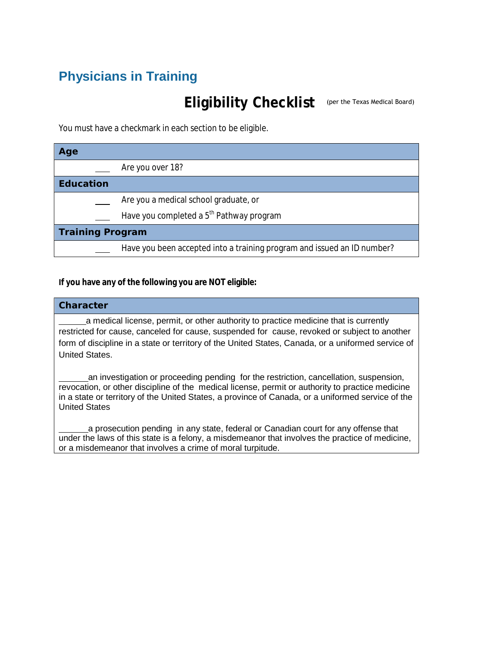# **Physicians in Training**

# Eligibility Checklist (per the Texas Medical Board)

You must have a checkmark in each section to be eligible.

| Age                     |                                                                         |
|-------------------------|-------------------------------------------------------------------------|
|                         | Are you over 18?                                                        |
| <b>Education</b>        |                                                                         |
|                         | Are you a medical school graduate, or                                   |
|                         | Have you completed a 5 <sup>th</sup> Pathway program                    |
| <b>Training Program</b> |                                                                         |
|                         | Have you been accepted into a training program and issued an ID number? |

### **If you have any of the following you are NOT eligible:**

### **Character**

 a medical license, permit, or other authority to practice medicine that is currently restricted for cause, canceled for cause, suspended for cause, revoked or subject to another form of discipline in a state or territory of the United States, Canada, or a uniformed service of United States.

an investigation or proceeding pending for the restriction, cancellation, suspension, revocation, or other discipline of the medical license, permit or authority to practice medicine in a state or territory of the United States, a province of Canada, or a uniformed service of the United States

a prosecution pending in any state, federal or Canadian court for any offense that under the laws of this state is a felony, a misdemeanor that involves the practice of medicine, or a misdemeanor that involves a crime of moral turpitude.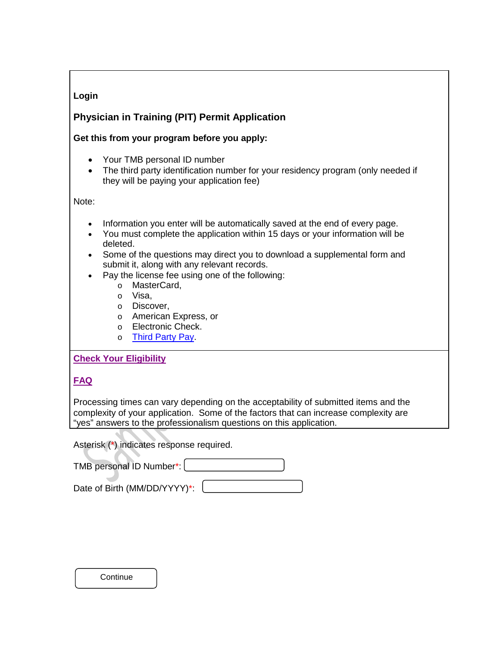### **Login**

### **Physician in Training (PIT) Permit Application**

### **Get this from your program before you apply:**

- Your TMB personal ID number
- The third party identification number for your residency program (only needed if they will be paying your application fee)

Note:

- Information you enter will be automatically saved at the end of every page.
- You must complete the application within 15 days or your information will be deleted.
- Some of the questions may direct you to download a supplemental form and submit it, along with any relevant records.
- Pay the license fee using one of the following:
	- o MasterCard,
	- o Visa,
	- o Discover,
	- o American Express, or
	- o Electronic Check.
	- o Third Party Pay

### **[Check Your Eligibility](http://www.tmb.state.tx.us/idl/3E510978-D10B-0419-89F9-213F94467EC0)**

**[FAQ](http://www.tmb.state.tx.us/page/licensing-pit-faqs)**

Processing times can vary depending on the acceptability of submitted items and the complexity of your application. Some of the factors that can increase complexity are "yes" answers to the professionalism questions on this application.

Asterisk (\*) indicates response required.

| TMB personal ID Number*: |  |
|--------------------------|--|
|                          |  |

| Date of Birth (MM/DD/YYYY)*: |  |
|------------------------------|--|
|                              |  |

**Continue**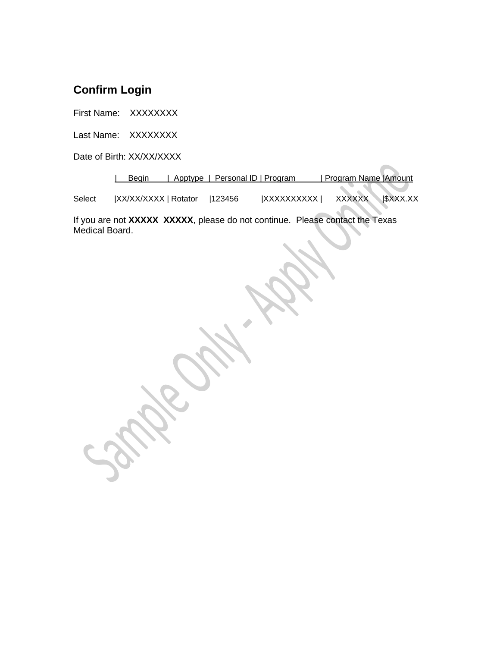# **Confirm Login**

First Name: XXXXXXXX

Last Name: XXXXXXXX

Date of Birth: XX/XX/XXXX

|        | Beain                 | Apptype   Personal ID   Program |                    | Program Name   Amount         |
|--------|-----------------------|---------------------------------|--------------------|-------------------------------|
|        |                       |                                 |                    |                               |
| Select | IXX/XX/XXXX   Rotator | 123456                          | <b>IXXXXXXXXXX</b> | $ $ \$XXX.XX<br><b>XXXXXX</b> |

If you are not **XXXXX XXXXX**, please do not continue. Please contact the Texas Medical Board.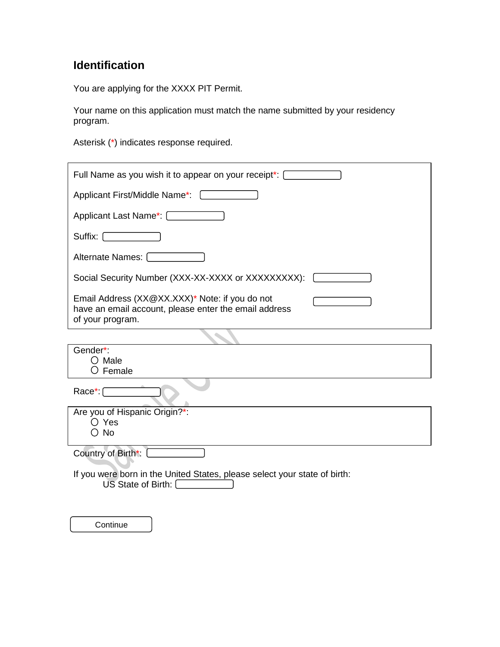# **Identification**

You are applying for the XXXX PIT Permit.

Your name on this application must match the name submitted by your residency program.

Asterisk (\*) indicates response required.

| Full Name as you wish it to appear on your receipt*:                                                                        |
|-----------------------------------------------------------------------------------------------------------------------------|
| Applicant First/Middle Name*:                                                                                               |
| Applicant Last Name*: [Contract of Applicant Last Name*: [Contract of Applicant of Applicance of Application                |
| Suffix: $\Box$                                                                                                              |
| Alternate Names:                                                                                                            |
| Social Security Number (XXX-XX-XXXX or XXXXXXXXX):                                                                          |
| Email Address (XX@XX.XXX)* Note: if you do not<br>have an email account, please enter the email address<br>of your program. |
|                                                                                                                             |
| Gender*:<br>$\bigcirc$ Male<br>$\circlearrowright$ Female                                                                   |
| $Race$ : $\lceil$                                                                                                           |
| Are you of Hispanic Origin?*:                                                                                               |
| $\bigcirc$ Yes                                                                                                              |
| <b>No</b>                                                                                                                   |
| Country of Birth*:                                                                                                          |
| If you were born in the United States, please select your state of birth:<br>US State of Birth:                             |
|                                                                                                                             |

Continue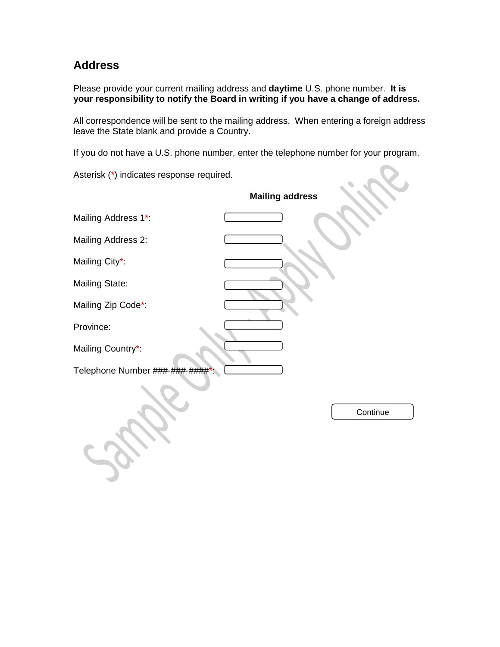## **Address**

Please provide your current mailing address and **daytime** U.S. phone number. **It is your responsibility to notify the Board in writing if you have a change of address.** 

All correspondence will be sent to the mailing address. When entering a foreign address leave the State blank and provide a Country.

If you do not have a U.S. phone number, enter the telephone number for your program.

 $2.2$ 

Asterisk (\*) indicates response required.

|                               | <b>Mailing address</b> |
|-------------------------------|------------------------|
| Mailing Address 1*:           |                        |
| Mailing Address 2:            |                        |
| Mailing City*:                |                        |
| <b>Mailing State:</b>         |                        |
| Mailing Zip Code*:            |                        |
| Province:                     |                        |
| Mailing Country*:             |                        |
| Telephone Number ###-###-#### |                        |
|                               | Continue               |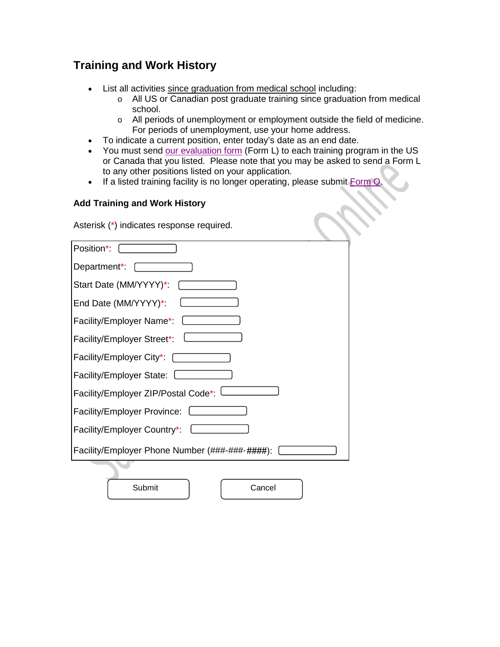# **Training and Work History**

- List all activities since graduation from medical school including:
	- o All US or Canadian post graduate training since graduation from medical school.
	- o All periods of unemployment or employment outside the field of medicine. For periods of unemployment, use your home address.
- To indicate a current position, enter today's date as an end date.
- You must send [our evaluation form](http://www.tmb.state.tx.us/idl/EA705C2D-A319-697C-185A-19354C0ED50A) (Form L) to each training program in the US or Canada that you listed. Please note that you may be asked to send a Form L to any other positions listed on your application.
- If a listed training facility is no longer operating, please submit [Form Q.](http://www.tmb.state.tx.us/idl/CF8DE2EC-068A-6AE5-BA9F-9B0DD9AA117B)

### **Add Training and Work History**

Asterisk (\*) indicates response required.

| Position*:                                     |
|------------------------------------------------|
| Department*:                                   |
| Start Date (MM/YYYY)*:                         |
| End Date (MM/YYYY)*:                           |
| Facility/Employer Name*:                       |
| Facility/Employer Street*:                     |
| Facility/Employer City*:                       |
| Facility/Employer State:                       |
| Facility/Employer ZIP/Postal Code*:            |
| Facility/Employer Province:                    |
| Facility/Employer Country*:                    |
| Facility/Employer Phone Number (###-###-####): |
|                                                |
| Submit<br>Cancel                               |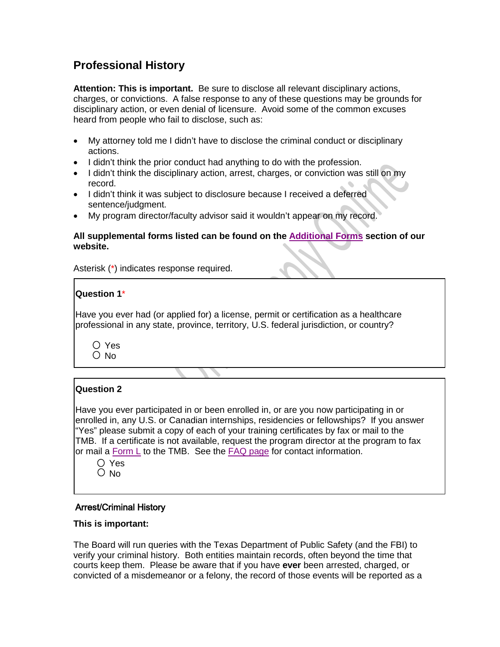## **Professional History**

**Attention: This is important.** Be sure to disclose all relevant disciplinary actions, charges, or convictions. A false response to any of these questions may be grounds for disciplinary action, or even denial of licensure. Avoid some of the common excuses heard from people who fail to disclose, such as:

- My attorney told me I didn't have to disclose the criminal conduct or disciplinary actions.
- I didn't think the prior conduct had anything to do with the profession.
- I didn't think the disciplinary action, arrest, charges, or conviction was still on my record.
- I didn't think it was subject to disclosure because I received a deferred sentence/judgment.
- My program director/faculty advisor said it wouldn't appear on my record.

### **All supplemental forms listed can be found on the [Additional Forms](http://www.tmb.state.tx.us/page/pit-supplemental-forms) section of our website.**

Asterisk (\*) indicates response required.

### **Question 1**\*

Have you ever had (or applied for) a license, permit or certification as a healthcare professional in any state, province, territory, U.S. federal jurisdiction, or country?

O Yes  $O$  No

### **Question 2**

Have you ever participated in or been enrolled in, or are you now participating in or enrolled in, any U.S. or Canadian internships, residencies or fellowships? If you answer "Yes" please submit a copy of each of your training certificates by fax or mail to the TMB. If a certificate is not available, request the program director at the program to fax or mail a [Form L](http://www.tmb.state.tx.us/idl/EA705C2D-A319-697C-185A-19354C0ED50A) to the TMB. See the [FAQ page](http://www.tmb.state.tx.us/page/licensing-pit-faqs) for contact information.

Yes  $O$  No

### Arrest/Criminal History

### **This is important:**

The Board will run queries with the Texas Department of Public Safety (and the FBI) to verify your criminal history. Both entities maintain records, often beyond the time that courts keep them. Please be aware that if you have **ever** been arrested, charged, or convicted of a misdemeanor or a felony, the record of those events will be reported as a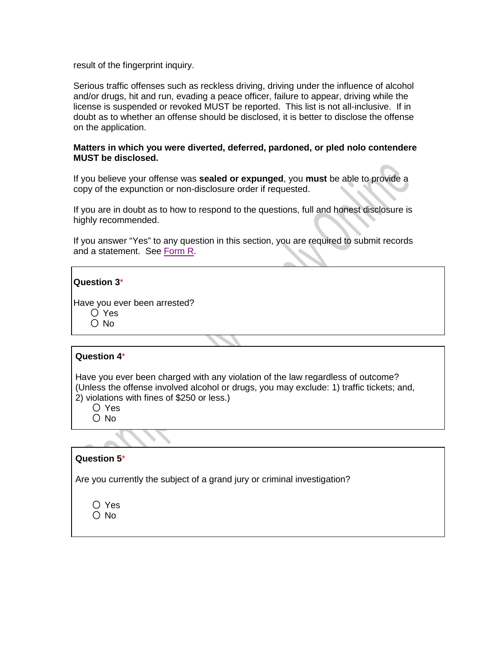result of the fingerprint inquiry.

Serious traffic offenses such as reckless driving, driving under the influence of alcohol and/or drugs, hit and run, evading a peace officer, failure to appear, driving while the license is suspended or revoked MUST be reported. This list is not all-inclusive. If in doubt as to whether an offense should be disclosed, it is better to disclose the offense on the application.

#### **Matters in which you were diverted, deferred, pardoned, or pled nolo contendere MUST be disclosed.**

If you believe your offense was **sealed or expunged**, you **must** be able to provide a copy of the expunction or non-disclosure order if requested.

If you are in doubt as to how to respond to the questions, full and honest disclosure is highly recommended.

If you answer "Yes" to any question in this section, you are required to submit records and a statement. See [Form R.](http://www.tmb.state.tx.us/idl/8A9A9C70-2D55-3884-F1A4-53803C159D07)

| Question 3* |  |
|-------------|--|
|-------------|--|

Have you ever been arrested? Yes  $O$  No

### **Question 4**\*

Have you ever been charged with any violation of the law regardless of outcome? (Unless the offense involved alcohol or drugs, you may exclude: 1) traffic tickets; and, 2) violations with fines of \$250 or less.)

O Yes

O No

### **Question 5**\*

Are you currently the subject of a grand jury or criminal investigation?

| ∩ Yes         |
|---------------|
| $\bigcirc$ No |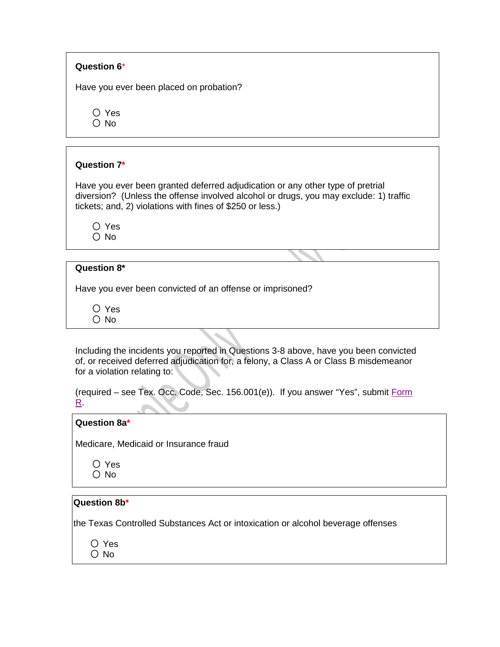### **Question 6**\*

Have you ever been placed on probation?

Yes  $\bigcirc$  No

### **Question 7\***

Have you ever been granted deferred adjudication or any other type of pretrial diversion? (Unless the offense involved alcohol or drugs, you may exclude: 1) traffic tickets; and, 2) violations with fines of \$250 or less.)

○ Yes O No

### **Question 8\***

Have you ever been convicted of an offense or imprisoned?

O Yes O No

Including the incidents you reported in Questions 3-8 above, have you been convicted of, or received deferred adjudication for, a felony, a Class A or Class B misdemeanor for a violation relating to:

|  |  | (required – see Tex. Occ. Code, Sec. 156.001(e)). If you answer "Yes", submit Form |
|--|--|------------------------------------------------------------------------------------|
|  |  |                                                                                    |

#### **Question 8a\***

Medicare, Medicaid or Insurance fraud

O Yes  $\bigcirc$  No

### **Question 8b\***

the Texas Controlled Substances Act or intoxication or alcohol beverage offenses

O Yes  $\bigcirc$  No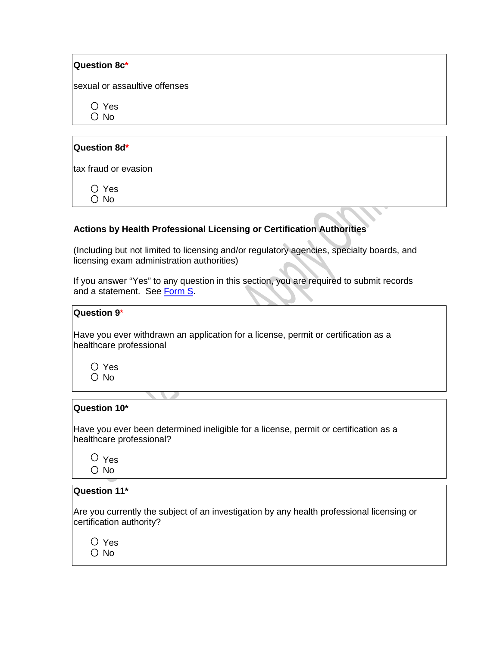| Question 8c*                  |  |
|-------------------------------|--|
| sexual or assaultive offenses |  |
| Yes<br>()<br>$\circ$ No       |  |
|                               |  |
| Question 8d*                  |  |
| tax fraud or evasion          |  |
| Yes<br>$\Box$<br>No           |  |

### **Actions by Health Professional Licensing or Certification Authorities**

(Including but not limited to licensing and/or regulatory agencies, specialty boards, and licensing exam administration authorities)

If you answer "Yes" to any question in this section, you are required to submit records and a statement. See [Form S.](http://www.tmb.state.tx.us/idl/276B64B2-3F54-A3CE-5638-A5D21DB83447)

| Question 9*                                                                                                   |
|---------------------------------------------------------------------------------------------------------------|
| Have you ever withdrawn an application for a license, permit or certification as a<br>healthcare professional |
| $\bigcirc$ Yes<br>$\circ$ No                                                                                  |
|                                                                                                               |
| Question 10*                                                                                                  |

Have you ever been determined ineligible for a license, permit or certification as a healthcare professional?

O Yes O No

### **Question 11\***

Are you currently the subject of an investigation by any health professional licensing or certification authority?

Yes O No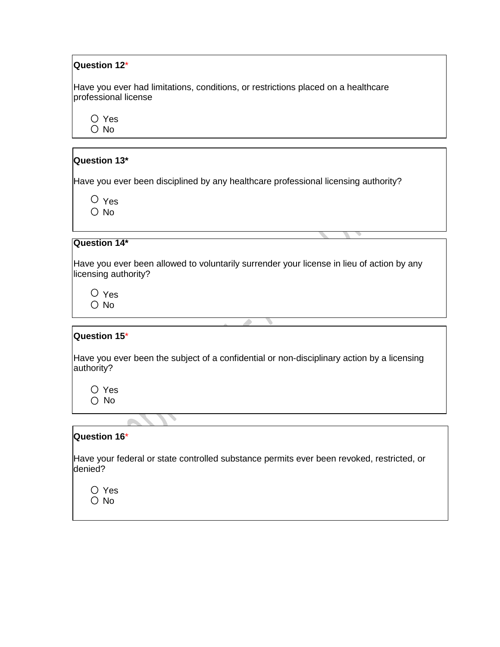### **Question 12**\*

Have you ever had limitations, conditions, or restrictions placed on a healthcare professional license

Yes  $O$  No

### **Question 13\***

Have you ever been disciplined by any healthcare professional licensing authority?

 $\circ$  Yes  $O$  No

### **Question 14\***

Have you ever been allowed to voluntarily surrender your license in lieu of action by any licensing authority?

Yes O No

#### **Question 15**\*

Have you ever been the subject of a confidential or non-disciplinary action by a licensing authority?

Yes O No

╰

### **Question 16**\*

 $\overline{a}$ 

Have your federal or state controlled substance permits ever been revoked, restricted, or denied?

Yes  $\bigcirc$  No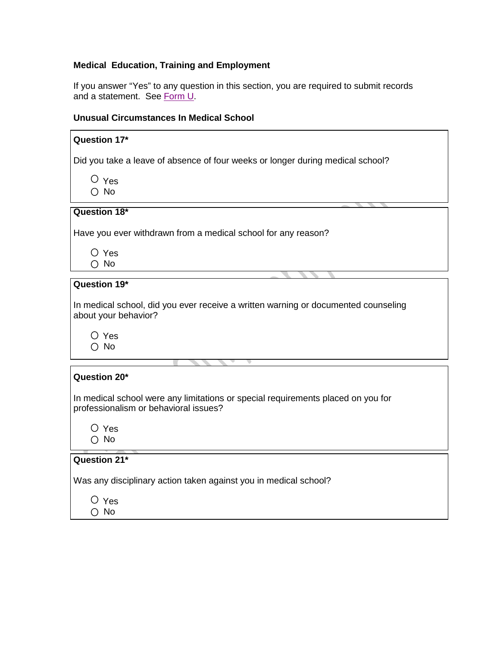### **Medical Education, Training and Employment**

If you answer "Yes" to any question in this section, you are required to submit records and a statement. See <u>Form U</u>.

### **Unusual Circumstances In Medical School**

| Question 17*                                                                                                                                  |
|-----------------------------------------------------------------------------------------------------------------------------------------------|
| Did you take a leave of absence of four weeks or longer during medical school?                                                                |
| $\circ$ Yes                                                                                                                                   |
| $\bigcirc$ No                                                                                                                                 |
| Question 18*                                                                                                                                  |
| Have you ever withdrawn from a medical school for any reason?                                                                                 |
| $\bigcirc$ Yes                                                                                                                                |
| $\bigcirc$ No                                                                                                                                 |
| Question 19*                                                                                                                                  |
| In medical school, did you ever receive a written warning or documented counseling<br>about your behavior?<br>$\bigcirc$ Yes<br>$\bigcirc$ No |
|                                                                                                                                               |
| Question 20*                                                                                                                                  |
| In medical school were any limitations or special requirements placed on you for<br>professionalism or behavioral issues?                     |
| $\circ$ Yes<br>$\bigcirc$ No                                                                                                                  |
|                                                                                                                                               |
| Question 21*                                                                                                                                  |
| Was any disciplinary action taken against you in medical school?                                                                              |
| O Yes                                                                                                                                         |
| ∩ No                                                                                                                                          |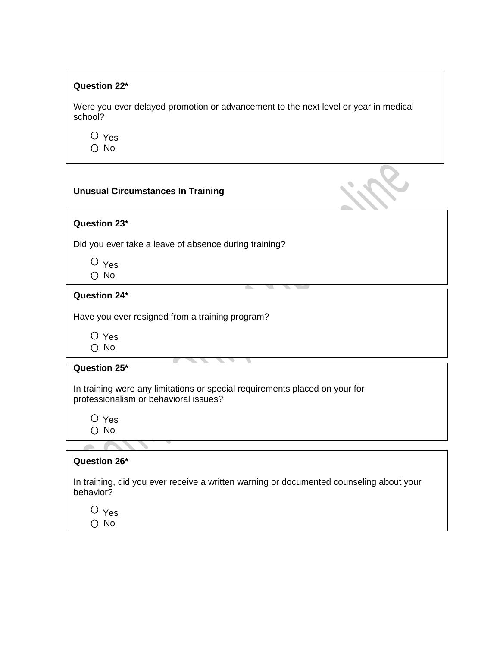### **Question 22\***

Were you ever delayed promotion or advancement to the next level or year in medical school?

O Yes O No

### **Unusual Circumstances In Training**

**Question 23\***

Did you ever take a leave of absence during training?

 $O$  Yes O No

### **Question 24\***

Have you ever resigned from a training program?

Yes

| No.                                                                                                                  |
|----------------------------------------------------------------------------------------------------------------------|
| Question 25*                                                                                                         |
| In training were any limitations or special requirements placed on your for<br>professionalism or behavioral issues? |
| $\circ$ Yes<br>○ No                                                                                                  |
|                                                                                                                      |
| Question 26*                                                                                                         |
| In training, did you ever receive a written warning or documented counseling about your<br>behavior?                 |
| $\mathbf{v}$                                                                                                         |

 $\cup$  Yes O No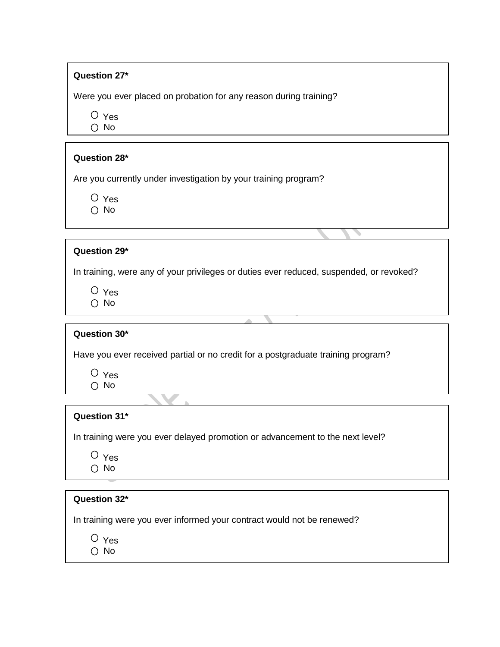### **Question 27\***

Were you ever placed on probation for any reason during training?

O Yes O No

### **Question 28\***

Are you currently under investigation by your training program?

O Yes O No

### **Question 29\***

In training, were any of your privileges or duties ever reduced, suspended, or revoked?

Yes O No

### **Question 30\***

Have you ever received partial or no credit for a postgraduate training program?

 $O$  Yes  $\bigcirc$  No

### **Question 31\***

In training were you ever delayed promotion or advancement to the next level?

O Yes ○ No

| Question 32*                                                           |  |
|------------------------------------------------------------------------|--|
| In training were you ever informed your contract would not be renewed? |  |
| $\circ$ Yes<br>$\bigcirc$ No                                           |  |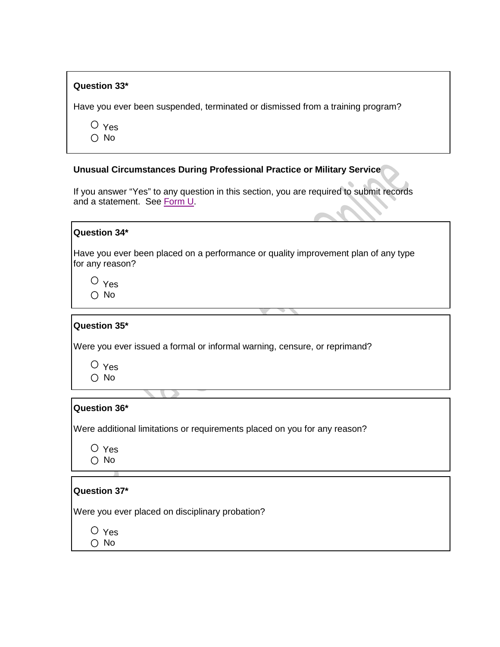### **Question 33\***

Have you ever been suspended, terminated or dismissed from a training program?

 $\overline{O}$  Yes  $\bigcirc$  No

#### **Unusual Circumstances During Professional Practice or Military Service**

If you answer "Yes" to any question in this section, you are required to submit records and a statement. See [Form U.](http://www.tmb.state.tx.us/idl/D93AFED2-0CCF-0F7F-3239-11577754A2CD)

#### **Question 34\***

Have you ever been placed on a performance or quality improvement plan of any type for any reason?

 $\circ$  Yes  $\bigcirc$  No

### **Question 35\***

Were you ever issued a formal or informal warning, censure, or reprimand?

 $O$  Yes  $\bigcirc$  No

### **Question 36\***

Were additional limitations or requirements placed on you for any reason?

| Yes |
|-----|
| N٥  |

### **Question 37\***

Were you ever placed on disciplinary probation?

Yes

O No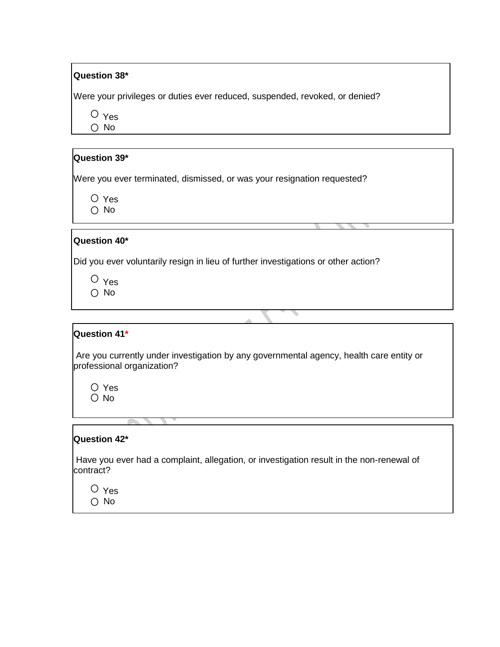### **Question 38\***

Were your privileges or duties ever reduced, suspended, revoked, or denied?

O Yes O No

### **Question 39\***

Were you ever terminated, dismissed, or was your resignation requested?

Yes O No

### **Question 40\***

Did you ever voluntarily resign in lieu of further investigations or other action?

O Yes O No

### **Question 41\***

Are you currently under investigation by any governmental agency, health care entity or professional organization?

 $\overline{\phantom{a}}$ 

Yes O No

#### **Question 42\***

Have you ever had a complaint, allegation, or investigation result in the non-renewal of contract?

Yes O No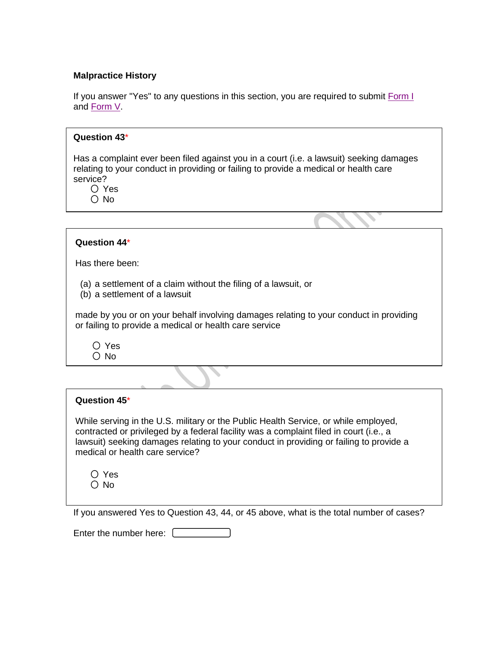### **Malpractice History**

If you answer "Yes" to any questions in this section, you are required to submit [Form I](http://www.tmb.state.tx.us/idl/A62EF6F1-E3A5-991E-6A6B-AA070BA9B5E6) and [Form V.](http://www.tmb.state.tx.us/idl/F2C7F251-90C6-1A4A-26AB-05D44BD07F87)

| Question 43*                                                                                                                                                                                                                                                                                     |
|--------------------------------------------------------------------------------------------------------------------------------------------------------------------------------------------------------------------------------------------------------------------------------------------------|
| Has a complaint ever been filed against you in a court (i.e. a lawsuit) seeking damages<br>relating to your conduct in providing or failing to provide a medical or health care<br>service?<br>$\bigcirc$ Yes<br>$\circ$ No                                                                      |
|                                                                                                                                                                                                                                                                                                  |
| Question 44*                                                                                                                                                                                                                                                                                     |
| Has there been:                                                                                                                                                                                                                                                                                  |
| (a) a settlement of a claim without the filing of a lawsuit, or<br>(b) a settlement of a lawsuit                                                                                                                                                                                                 |
| made by you or on your behalf involving damages relating to your conduct in providing<br>or failing to provide a medical or health care service                                                                                                                                                  |
| $\bigcirc$ Yes<br>$\bigcirc$ No                                                                                                                                                                                                                                                                  |
|                                                                                                                                                                                                                                                                                                  |
| Question 45*                                                                                                                                                                                                                                                                                     |
| While serving in the U.S. military or the Public Health Service, or while employed,<br>contracted or privileged by a federal facility was a complaint filed in court (i.e., a<br>en and the company of the company of the company of the company of the company of the company of the company of |

lawsuit) seeking damages relating to your conduct in providing or failing to provide a medical or health care service?

|    | Yes |
|----|-----|
| () | No  |

If you answered Yes to Question 43, 44, or 45 above, what is the total number of cases?

Enter the number here:  $\square$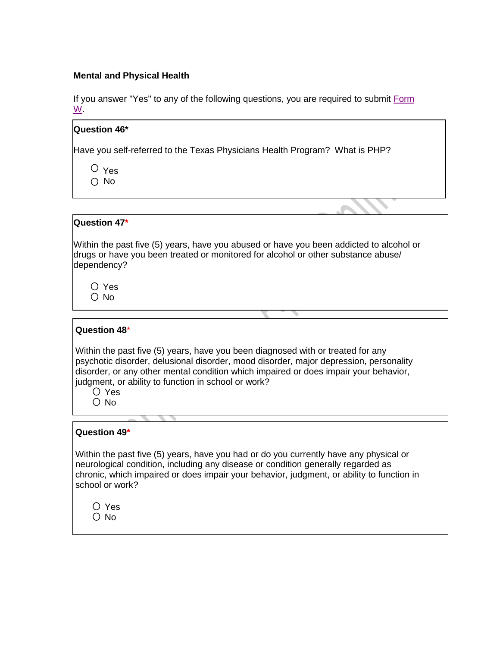### **Mental and Physical Health**

If you answer "Yes" to any of the following questions, you are required to submit Form [W.](http://www.tmb.state.tx.us/idl/C5EAB589-0916-C88D-FF94-DE8D9623C5A4)

### **Question 46\***

Have you self-referred to the Texas Physicians Health Program? What is PHP?

 $O$  Yes  $\bigcap$  No

### **Question 47\***

Within the past five (5) years, have you abused or have you been addicted to alcohol or drugs or have you been treated or monitored for alcohol or other substance abuse/ dependency?

Yes O No

#### **Question 48**\*

Within the past five (5) years, have you been diagnosed with or treated for any psychotic disorder, delusional disorder, mood disorder, major depression, personality disorder, or any other mental condition which impaired or does impair your behavior, judgment, or ability to function in school or work?

Yes  $\bigcirc$  No

### **Question 49\***

Within the past five (5) years, have you had or do you currently have any physical or neurological condition, including any disease or condition generally regarded as chronic, which impaired or does impair your behavior, judgment, or ability to function in school or work?

|   | Yes |
|---|-----|
| , | N٥  |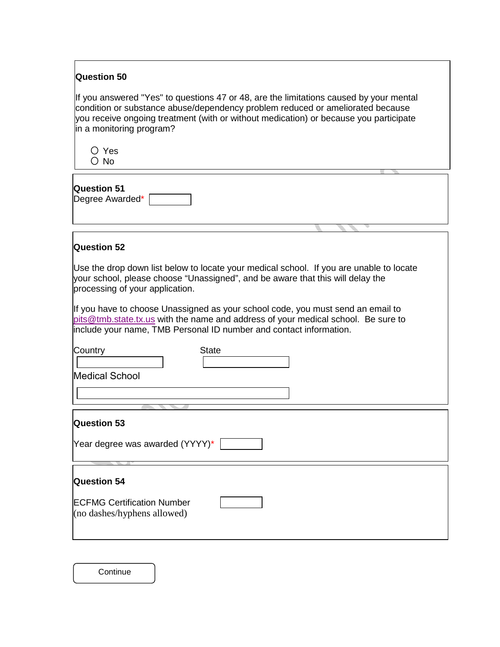| <b>Question 50</b>                                                                                                                                                                                                                                                                                                                                                                                                                                         |  |  |
|------------------------------------------------------------------------------------------------------------------------------------------------------------------------------------------------------------------------------------------------------------------------------------------------------------------------------------------------------------------------------------------------------------------------------------------------------------|--|--|
| If you answered "Yes" to questions 47 or 48, are the limitations caused by your mental<br>condition or substance abuse/dependency problem reduced or ameliorated because<br>you receive ongoing treatment (with or without medication) or because you participate<br>in a monitoring program?                                                                                                                                                              |  |  |
| $\bigcirc$ Yes<br>$\circ$ No                                                                                                                                                                                                                                                                                                                                                                                                                               |  |  |
| <b>Question 51</b><br>Degree Awarded*                                                                                                                                                                                                                                                                                                                                                                                                                      |  |  |
|                                                                                                                                                                                                                                                                                                                                                                                                                                                            |  |  |
| <b>Question 52</b>                                                                                                                                                                                                                                                                                                                                                                                                                                         |  |  |
| Use the drop down list below to locate your medical school. If you are unable to locate<br>your school, please choose "Unassigned", and be aware that this will delay the<br>processing of your application.<br>If you have to choose Unassigned as your school code, you must send an email to<br>pits@tmb.state.tx.us with the name and address of your medical school. Be sure to<br>include your name, TMB Personal ID number and contact information. |  |  |
|                                                                                                                                                                                                                                                                                                                                                                                                                                                            |  |  |
| <b>State</b><br>Country                                                                                                                                                                                                                                                                                                                                                                                                                                    |  |  |
| Medical School                                                                                                                                                                                                                                                                                                                                                                                                                                             |  |  |
|                                                                                                                                                                                                                                                                                                                                                                                                                                                            |  |  |
|                                                                                                                                                                                                                                                                                                                                                                                                                                                            |  |  |
| Question 53                                                                                                                                                                                                                                                                                                                                                                                                                                                |  |  |
| Year degree was awarded (YYYY)*                                                                                                                                                                                                                                                                                                                                                                                                                            |  |  |
| <b>Question 54</b>                                                                                                                                                                                                                                                                                                                                                                                                                                         |  |  |
| <b>ECFMG Certification Number</b><br>(no dashes/hyphens allowed)                                                                                                                                                                                                                                                                                                                                                                                           |  |  |
|                                                                                                                                                                                                                                                                                                                                                                                                                                                            |  |  |

**Continue**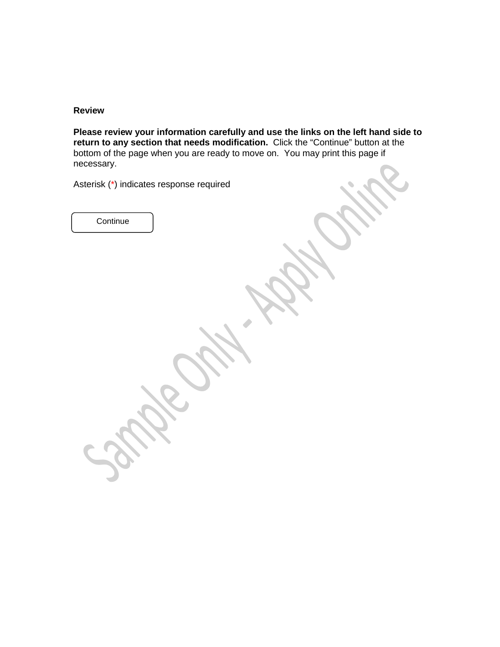### **Review**

**Please review your information carefully and use the links on the left hand side to return to any section that needs modification.** Click the "Continue" button at the bottom of the page when you are ready to move on. You may print this page if necessary.

Asterisk (\*) indicates response required

**Continue**